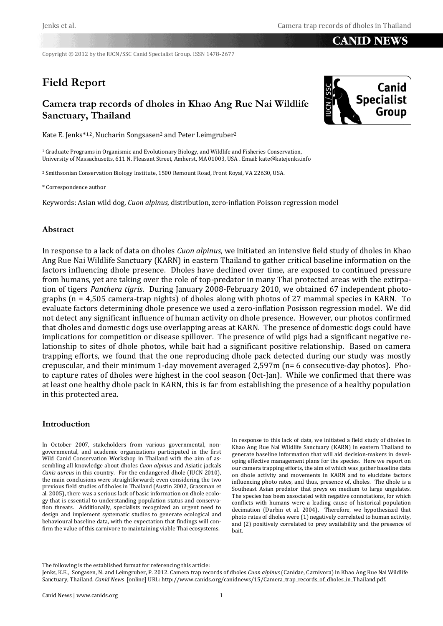## **CANID NEWS**

Copyright © 2012 by the IUCN/SSC Canid Specialist Group. ISSN 1478-2677

# **Field Report**

# **Camera trap records of dholes in Khao Ang Rue Nai Wildlife Sanctuary, Thailand**

Kate E. Jenks\*<sup>1,2</sup>, Nucharin Songsasen<sup>2</sup> and Peter Leimgruber<sup>2</sup>

<sup>1</sup> Graduate Programs in Organismic and Evolutionary Biology, and Wildlife and Fisheries Conservation, University of Massachusetts, 611 N. Pleasant Street, Amherst, MA 01003, USA . Email: kate@katejenks.info

<sup>2</sup> Smithsonian Conservation Biology Institute, 1500 Remount Road, Front Royal, VA 22630, USA.

\* Correspondence author

Keywords: Asian wild dog, *Cuon alpinus*, distribution, zero-inflation Poisson regression model

### **Abstract**

In response to a lack of data on dholes *Cuon alpinus*, we initiated an intensive field study of dholes in Khao Ang Rue Nai Wildlife Sanctuary (KARN) in eastern Thailand to gather critical baseline information on the factors influencing dhole presence. Dholes have declined over time, are exposed to continued pressure from humans, yet are taking over the role of top-predator in many Thai protected areas with the extirpation of tigers *Panthera tigris*. During January 2008-February 2010, we obtained 67 independent photographs (n = 4,505 camera-trap nights) of dholes along with photos of 27 mammal species in KARN. To evaluate factors determining dhole presence we used a zero-inflation Posisson regression model. We did not detect any significant influence of human activity on dhole presence. However, our photos confirmed that dholes and domestic dogs use overlapping areas at KARN. The presence of domestic dogs could have implications for competition or disease spillover. The presence of wild pigs had a significant negative relationship to sites of dhole photos, while bait had a significant positive relationship. Based on camera trapping efforts, we found that the one reproducing dhole pack detected during our study was mostly crepuscular, and their minimum 1-day movement averaged 2,597m (n= 6 consecutive-day photos). Photo capture rates of dholes were highest in the cool season (Oct-Jan). While we confirmed that there was at least one healthy dhole pack in KARN, this is far from establishing the presence of a healthy population in this protected area.

### **Introduction**

In October 2007, stakeholders from various governmental, nongovernmental, and academic organizations participated in the first Wild Canid Conservation Workshop in Thailand with the aim of assembling all knowledge about dholes *Cuon alpinus* and Asiatic jackals *Canis aureus* in this country. For the endangered dhole (IUCN 2010), the main conclusions were straightforward; even considering the two previous field studies of dholes in Thailand (Austin 2002, Grassman et al. 2005), there was a serious lack of basic information on dhole ecology that is essential to understanding population status and conservation threats. Additionally, specialists recognized an urgent need to design and implement systematic studies to generate ecological and behavioural baseline data, with the expectation that findings will confirm the value of this carnivore to maintaining viable Thai ecosystems.

In response to this lack of data, we initiated a field study of dholes in Khao Ang Rue Nai Wildlife Sanctuary (KARN) in eastern Thailand to generate baseline information that will aid decision-makers in developing effective management plans for the species. Here we report on our camera trapping efforts, the aim of which was gather baseline data on dhole activity and movements in KARN and to elucidate factors influencing photo rates, and thus, presence of, dholes. The dhole is a Southeast Asian predator that preys on medium to large ungulates. The species has been associated with negative connotations, for which conflicts with humans were a leading cause of historical population decimation (Durbin et al. 2004). Therefore, we hypothesized that photo rates of dholes were (1) negatively correlated to human activity, and (2) positively correlated to prey availability and the presence of bait.

The following is the established format for referencing this article:

Jenks, K.E., Songasen, N. and Leimgruber, P. 2012. Camera trap records of dholes *Cuon alpinus* (Canidae, Carnivora) in Khao Ang Rue Nai Wildlife Sanctuary, Thailand. *Canid News* [online] URL: http://www.canids.org/canidnews/15/Camera\_trap\_records\_of\_dholes\_in\_Thailand.pdf.

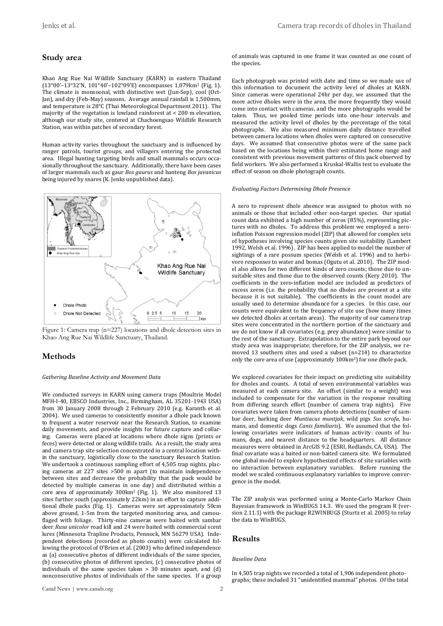### **Study area**

Khao Ang Rue Nai Wildlife Sanctuary (KARN) in eastern Thailand (13°00'–13°32'N, 101°40'–102°09'E) encompasses 1,079km<sup>2</sup> (Fig. 1). The climate is monsoonal, with distinctive wet (Jun-Sep), cool (Oct-Jan), and dry (Feb-May) seasons. Average annual rainfall is 1,500mm, and temperature is 28°C (Thai Meteorological Department 2011). The majority of the vegetation is lowland rainforest at < 200 m elevation, although our study site, centered at Chachoengsao Wildlife Research Station, was within patches of secondary forest.

Human activity varies throughout the sanctuary and is influenced by ranger patrols, tourist groups, and villagers entering the protected area. Illegal hunting targeting birds and small mammals occurs occasionally throughout the sanctuary. Additionally, there have been cases of larger mammals such as gaur *Bos gaurus* and banteng *Bos javanicus* being injured by snares (K. Jenks unpublished data).





### **Methods**

#### *Gathering Baseline Activity and Movement Data*

We conducted surveys in KARN using camera traps (Moultrie Model MFH-I-40, EBSCO Industries, Inc., Birmingham, AL 35201-1943 USA) from 30 January 2008 through 2 February 2010 (e.g. Karanth et al. 2004). We used cameras to consistently monitor a dhole pack known to frequent a water reservoir near the Research Station, to examine daily movements, and provide insights for future capture and collaring. Cameras were placed at locations where dhole signs (prints or feces) were detected or along wildlife trails. As a result, the study area and camera trap site selection concentrated in a central location within the sanctuary, logistically close to the sanctuary Research Station. We undertook a continuous sampling effort of 4,505 trap nights, placing cameras at 227 sites >500 m apart (to maintain independence between sites and decrease the probability that the pack would be detected by multiple cameras in one day) and distributed within a core area of approximately 300km<sup>2</sup> (Fig. 1). We also monitored 13 sites further south (approximately 22km) in an effort to capture additional dhole packs (Fig. 1). Cameras were set approximately 50cm above ground, 1-5m from the targeted monitoring area, and camouflaged with foliage. Thirty-nine cameras were baited with sambar deer *Rusa unicolor* road kill and 24 were baited with commercial scent lures (Minnesota Trapline Products, Pennock, MN 56279 USA). Independent detections (recorded as photo counts) were calculated following the protocol of O'Brien et al. (2003) who defined independence as (a) consecutive photos of different individuals of the same species, (b) consecutive photos of different species, (c) consecutive photos of individuals of the same species taken > 30 minutes apart, and (d) nonconsecutive photos of individuals of the same species. If a group of animals was captured in one frame it was counted as one count of the species.

Each photograph was printed with date and time so we made use of this information to document the activity level of dholes at KARN. Since cameras were operational 24hr per day, we assumed that the more active dholes were in the area, the more frequently they would come into contact with cameras, and the more photographs would be taken. Thus, we pooled time periods into one-hour intervals and measured the activity level of dholes by the percentage of the total photographs. We also measured minimum daily distance travelled between camera locations when dholes were captured on consecutive days. We assumed that consecutive photos were of the same pack based on the locations being within their estimated home range and consistent with previous movement patterns of this pack observed by field workers. We also performed a Kruskal-Wallis test to evaluate the effect of season on dhole photograph counts.

#### *Evaluating Factors Determining Dhole Presence*

A zero to represent dhole absence was assigned to photos with no animals or those that included other non-target species. Our spatial count data exhibited a high number of zeros (85%), representing pictures with no dholes. To address this problem we employed a zeroinflation Poisson regression model (ZIP) that allowed for complex sets of hypotheses involving species counts given site suitability (Lambert 1992, Welsh et al. 1996). ZIP has been applied to model the number of sightings of a rare possum species (Welsh et al. 1996) and to herbivore responses to water and bomas (Ogutu et al. 2010). The ZIP model also allows for two different kinds of zero counts; those due to unsuitable sites and those due to the observed counts (Kery 2010). The coefficients in the zero-inflation model are included as predictors of excess zeros (i.e. the probability that no dholes are present at a site because it is not suitable). The coefficients in the count model are usually used to determine abundance for a species. In this case, our counts were equivalent to the frequency of site use (how many times we detected dholes at certain areas). The majority of our camera trap sites were concentrated in the northern portion of the sanctuary and we do not know if all covariates (e.g. prey abundance) were similar to the rest of the sanctuary. Extrapolation to the entire park beyond our study area was inappropriate; therefore, for the ZIP analysis, we removed 13 southern sites and used a subset (n=214) to characterize only the core area of use (approximately 100km2) for one dhole pack.

We explored covariates for their impact on predicting site suitability for dholes and counts. A total of seven environmental variables was measured at each camera site. An offset (similar to a weight) was included to compensate for the variation in the response resulting from differing search effort (number of camera trap nights). Five covariates were taken from camera photo detections (number of sambar deer, barking deer *Muntiacus muntjak*, wild pigs *Sus scrofa*, humans, and domestic dogs *Canis familiaris*). We assumed that the following covariates were indicators of human activity: counts of humans, dogs, and nearest distance to the headquarters. All distance measures were obtained in ArcGIS 9.2 (ESRI, Redlands, CA, USA). The final covariate was a baited or non-baited camera site. We formulated one global model to explore hypothesized effects of site variables with no interaction between explanatory variables. Before running the model we scaled continuous explanatory variables to improve convergence in the model.

The ZIP analysis was performed using a Monte-Carlo Markov Chain Bayesian framework in WinBUGS 14.3. We used the program R (version 2.11.1) with the package R2WINBUGS (Sturtz et al. 2005) to relay the data to WinBUGS.

#### **Results**

#### *Baseline Data*

In 4,505 trap nights we recorded a total of 1,906 independent photographs; these included 31 "unidentified mammal" photos. Of the total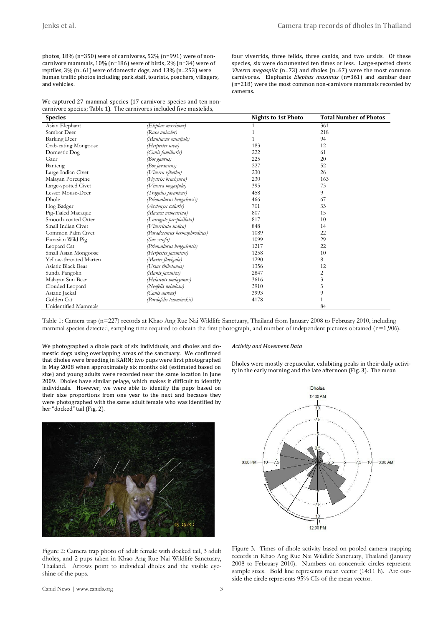four viverrids, three felids, three canids, and two ursids. Of these species, six were documented ten times or less. Large-spotted civets *Viverra megaspila* (n=73) and dholes (n=67) were the most common carnivores. Elephants *Elephas maximus* (n=361) and sambar deer (n=218) were the most common non-carnivore mammals recorded by

photos, 18% (n=350) were of carnivores, 52% (n=991) were of noncarnivore mammals, 10% (n=186) were of birds, 2% (n=34) were of reptiles, 3% (n=61) were of domestic dogs, and 13% (n=253) were human traffic photos including park staff, tourists, poachers, villagers, and vehicles.

We captured 27 mammal species (17 carnivore species and ten noncarnivore species; Table 1). The carnivores included five mustelids,

**Species Nights to 1st Photo Total Number of Photos** Asian Elephant *(Elephas maximus)* 1 361 Sambar Deer *(Rusa unicolor)* 1 218 Barking Deer *(Muntiacus muntjak)* 1<br>
Crab-eating Mongoose *(Herpestes urva)* 183 12<br>
12 Crab-eating Mongoose *(Herpestes urva)* 183 12<br>
Domestic Dog *(Canis familiaris)* 222 22 61 Domestic Dog *(Canis familiaris)* 222 61 Gaur *(Bos gaurus)* 225 20 Banteng *(Bos javanicus)* 227 52 Large Indian Civet *(Viverra zibetha)* 230 26 Malayan Porcupine *(Hystrix brachyura)* 230 230 163<br>
Large-spotted Civet *(Vivera megastila)* 395 395 23 Large-spotted Civet *(Viverra megaspila)* 395 7<br>
Lesser Mouse-Deer *(Travulus iavanicus*) 458 9 Lesser Mouse-Deer *(Tragulus javanicus)* 458 9 Dhole *(Prionailurus bengalensis)* 466 67 *(Arctonyx collaris)* Pig-Tailed Macaque *(Macaca nemestrina)* 807 807 15<br>
Smooth-coated Otter *(Lutrogale perspicillata)* 817 817 10 Smooth-coated Otter *(Lutrogale perspicillata)* 817 817 Small Indian Civet *(Viverricula indica)* 848 14 Common Palm Civet *(Paradoxurus hermaphroditus)* 1089 1089 22<br>
Eurasian Wild Pig *(Sus serofa)* 1099 1099 29 Eurasian Wild Pig *(Sus scrofa)* 1099 29<br>
Leopard Cat *(Prionailurus bengalensis)* 1217 22 Leopard Cat *(Prionailurus bengalensis)* 1217 22 Small Asian Mongoose *(Herpestes javanicus)* 1258 10 Yellow-throated Marten *(Martes flavigula)* 1290 8 Asiatic Black Bear *(Ursus thibetanus)* 1356 12 Sunda Pangolin *(Manis javanica)* 2847 2  $(Helarcots$  malayanus) Clouded Leopard *(Neofelis nebulosa)* 3910 3910 3910 Asiatic Jackal *(Canis aureus)* 3993 9 Golden Cat *(Pardofelis temminckii)* 4178 1 Unidentified Mammals 84

cameras.

Table 1: Camera trap (n=227) records at Khao Ang Rue Nai Wildlife Sanctuary, Thailand from January 2008 to February 2010, including mammal species detected, sampling time required to obtain the first photograph, and number of independent pictures obtained (n=1,906).

We photographed a dhole pack of six individuals, and dholes and domestic dogs using overlapping areas of the sanctuary. We confirmed that dholes were breeding in KARN; two pups were first photographed in May 2008 when approximately six months old (estimated based on size) and young adults were recorded near the same location in June 2009. Dholes have similar pelage, which makes it difficult to identify individuals. However, we were able to identify the pups based on their size proportions from one year to the next and because they were photographed with the same adult female who was identified by her "docked" tail (Fig. 2).



#### *Activity and Movement Data*

Dholes were mostly crepuscular, exhibiting peaks in their daily activity in the early morning and the late afternoon (Fig. 3). The mean



Figure 2: Camera trap photo of adult female with docked tail, 3 adult dholes, and 2 pups taken in Khao Ang Rue Nai Wildlife Sanctuary, Thailand. Arrows point to individual dholes and the visible eyeshine of the pups.

Figure 3. Times of dhole activity based on pooled camera trapping records in Khao Ang Rue Nai Wildlife Sanctuary, Thailand (January 2008 to February 2010). Numbers on concentric circles represent sample sizes. Bold line represents mean vector (14:11 h). Arc outside the circle represents 95% CIs of the mean vector.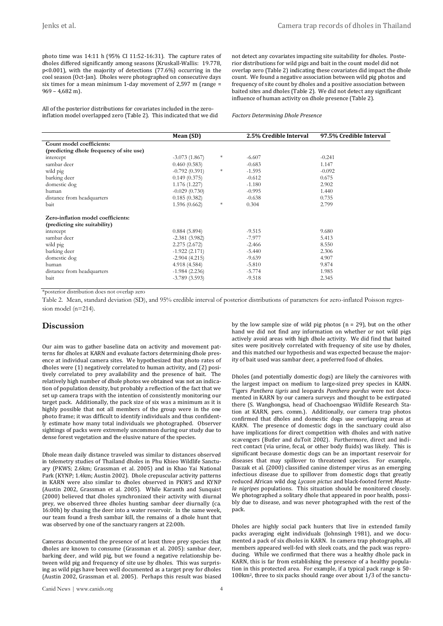photo time was 14:11 h (95% CI 11:52-16:31). The capture rates of dholes differed significantly among seasons (Kruskall-Wallis: 19.778, p<0.001), with the majority of detections (77.6%) occurring in the cool season (Oct-Jan). Dholes were photographed on consecutive days six times for a mean minimum 1-day movement of 2,597 m (range = 969 – 4,682 m).

All of the posterior distributions for covariates included in the zeroinflation model overlapped zero (Table 2). This indicated that we did not detect any covariates impacting site suitability for dholes. Posterior distributions for wild pigs and bait in the count model did not overlap zero (Table 2) indicating these covariates did impact the dhole count. We found a negative association between wild pig photos and frequency of site count by dholes and a positive association between baited sites and dholes (Table 2). We did not detect any significant influence of human activity on dhole presence (Table 2).

*Factors Determining Dhole Presence*

|                                          | Mean (SD)       |        | 2.5% Credible Interval | 97.5% Credible Interval |
|------------------------------------------|-----------------|--------|------------------------|-------------------------|
| Count model coefficients:                |                 |        |                        |                         |
| (predicting dhole frequency of site use) |                 |        |                        |                         |
| intercept                                | $-3.073(1.867)$ | *      | $-6.607$               | $-0.241$                |
| sambar deer                              | 0.460(0.583)    |        | $-0.683$               | 1.147                   |
| wild pig                                 | $-0.792(0.391)$ | *      | $-1.595$               | $-0.092$                |
| barking deer                             | 0.149(0.375)    |        | $-0.612$               | 0.675                   |
| domestic dog                             | 1.176(1.227)    |        | $-1.180$               | 2.902                   |
| human                                    | $-0.029(0.730)$ |        | $-0.995$               | 1.440                   |
| distance from headquarters               | 0.185(0.382)    |        | $-0.638$               | 0.735                   |
| bait                                     | 1.596(0.662)    | $\ast$ | 0.304                  | 2.799                   |
| Zero-inflation model coefficients:       |                 |        |                        |                         |
| (predicting site suitability)            |                 |        |                        |                         |
| intercept                                | 0.884(5.894)    |        | $-9.515$               | 9.680                   |
| sambar deer                              | $-2.381(3.982)$ |        | $-7.977$               | 5.413                   |
| wild pig                                 | 2.275(2.672)    |        | $-2.466$               | 8.550                   |
| barking deer                             | $-1.922(2.171)$ |        | $-5.440$               | 2.306                   |
| domestic dog                             | $-2.904(4.215)$ |        | $-9.639$               | 4.907                   |
| human                                    | 4.918 (4.584)   |        | $-5.810$               | 9.874                   |
| distance from headquarters               | $-1.984(2.236)$ |        | $-5.774$               | 1.985                   |
| bait                                     | $-3.789(3.593)$ |        | $-9.518$               | 2.345                   |

\*posterior distribution does not overlap zero

Table 2. Mean, standard deviation (SD), and 95% credible interval of posterior distributions of parameters for zero-inflated Poisson regression model (n=214).

### **Discussion**

Our aim was to gather baseline data on activity and movement patterns for dholes at KARN and evaluate factors determining dhole presence at individual camera sites. We hypothesized that photo rates of dholes were (1) negatively correlated to human activity, and (2) positively correlated to prey availability and the presence of bait. The relatively high number of dhole photos we obtained was not an indication of population density, but probably a reflection of the fact that we set up camera traps with the intention of consistently monitoring our target pack. Additionally, the pack size of six was a minimum as it is highly possible that not all members of the group were in the one photo frame; it was difficult to identify individuals and thus confidently estimate how many total individuals we photographed. Observer sightings of packs were extremely uncommon during our study due to dense forest vegetation and the elusive nature of the species.

Dhole mean daily distance traveled was similar to distances observed in telemetry studies of Thailand dholes in Phu Khieo Wildlife Sanctuary (PKWS; 2.6km; Grassman et al. 2005) and in Khao Yai National Park (KYNP; 1.4km; Austin 2002). Dhole crepuscular activity patterns in KARN were also similar to dholes observed in PKWS and KYNP (Austin 2002, Grassman et al. 2005). While Karanth and Sunquist (2000) believed that dholes synchronized their activity with diurnal prey, we observed three dholes hunting sambar deer diurnally (ca. 16:00h) by chasing the deer into a water reservoir. In the same week, our team found a fresh sambar kill, the remains of a dhole hunt that was observed by one of the sanctuary rangers at 22:00h.

Cameras documented the presence of at least three prey species that dholes are known to consume (Grassman et al. 2005): sambar deer, barking deer, and wild pig, but we found a negative relationship between wild pig and frequency of site use by dholes. This was surprising as wild pigs have been well documented as a target prey for dholes (Austin 2002, Grassman et al. 2005). Perhaps this result was biased by the low sample size of wild pig photos ( $n = 29$ ), but on the other hand we did not find any information on whether or not wild pigs actively avoid areas with high dhole activity. We did find that baited sites were positively correlated with frequency of site use by dholes, and this matched our hypothesis and was expected because the majority of bait used was sambar deer, a preferred food of dholes.

Dholes (and potentially domestic dogs) are likely the carnivores with the largest impact on medium to large-sized prey species in KARN. Tigers *Panthera tigris* and leopards *Panthera pardus* were not documented in KARN by our camera surveys and thought to be extirpated there (S. Wanghongsa, head of Chachoengsao Wildlife Research Station at KARN, pers. comm.). Additionally, our camera trap photos confirmed that dholes and domestic dogs use overlapping areas at KARN. The presence of domestic dogs in the sanctuary could also have implications for direct competition with dholes and with native scavengers (Butler and duToit 2002). Furthermore, direct and indirect contact (via urine, fecal, or other body fluids) was likely. This is significant because domestic dogs can be an important reservoir for diseases that may spillover to threatened species. For example, Daszak et al. (2000) classified canine distemper virus as an emerging infectious disease due to spillover from domestic dogs that greatly reduced African wild dog *Lycaon pictus* and black-footed ferret *Mustela nigripes* populations. This situation should be monitored closely. We photographed a solitary dhole that appeared in poor health, possibly due to disease, and was never photographed with the rest of the pack.

Dholes are highly social pack hunters that live in extended family packs averaging eight individuals (Johnsingh 1981), and we documented a pack of six dholes in KARN. In camera trap photographs, all members appeared well-fed with sleek coats, and the pack was reproducing. While we confirmed that there was a healthy dhole pack in KARN, this is far from establishing the presence of a healthy population in this protected area. For example, if a typical pack range is 50- 100km2, three to six packs should range over about 1/3 of the sanctu